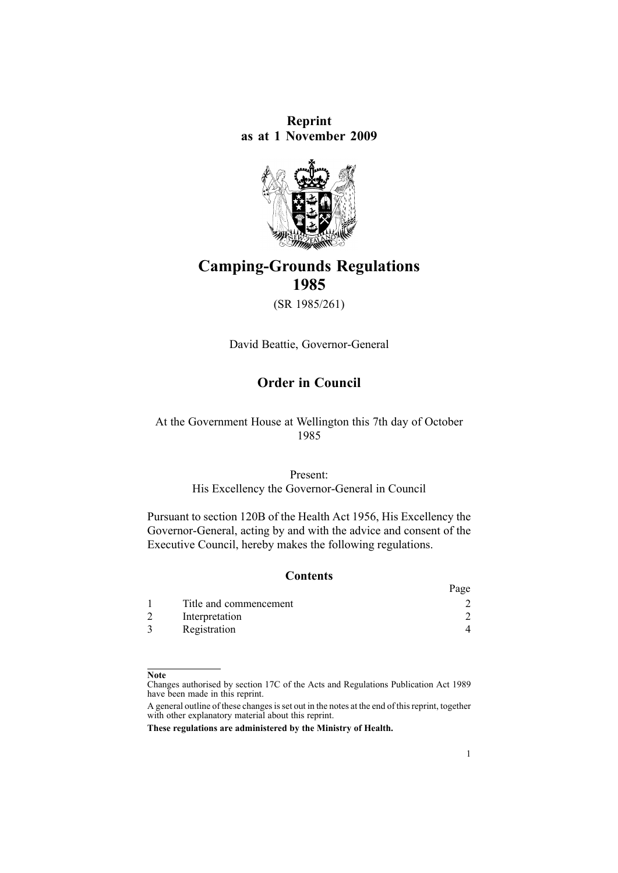**Reprint as at 1 November 2009**



# **Camping-Grounds Regulations 1985**

(SR 1985/261)

David Beattie, Governor-General

# **Order in Council**

#### At the Government House at Wellington this 7th day of October 1985

#### Present:

His Excellency the Governor-General in Council

Pursuant to [section](http://www.legislation.govt.nz/pdflink.aspx?id=DLM308429) 120B of the Health Act 1956, His Excellency the Governor-General, acting by and with the advice and consent of the Executive Council, hereby makes the following regulations.

#### **Contents**

|                        | Page |
|------------------------|------|
| Title and commencement |      |
| Interpretation         |      |
| Registration           |      |

#### **Note**

Changes authorised by [section](http://www.legislation.govt.nz/pdflink.aspx?id=DLM195466) 17C of the Acts and Regulations Publication Act 1989 have been made in this reprint.

A general outline of these changes is set out in the notes at the end of this reprint, together with other explanatory material about this reprint.

**These regulations are administered by the Ministry of Health.**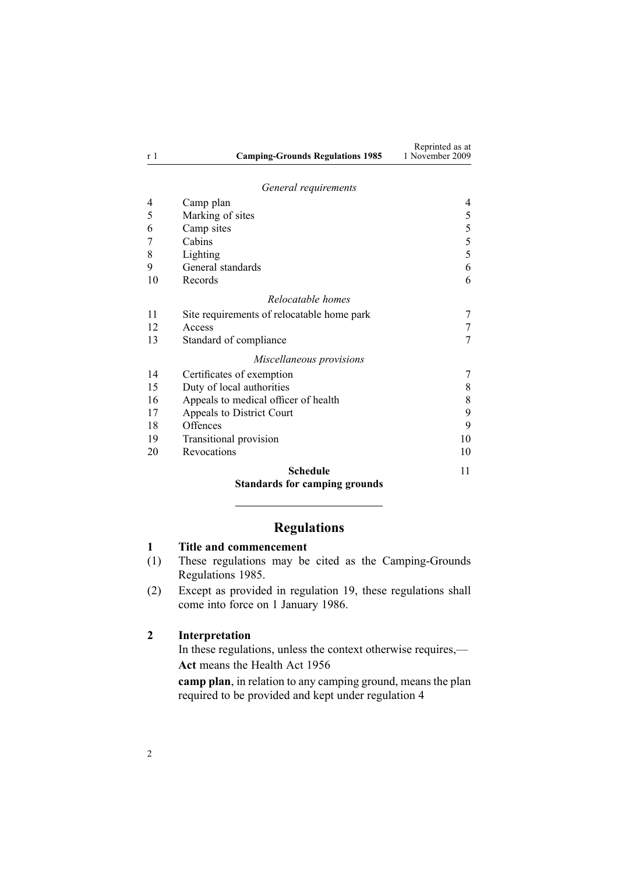<span id="page-1-0"></span>

|                |                                         | Reprinted as at |
|----------------|-----------------------------------------|-----------------|
| r <sup>1</sup> | <b>Camping-Grounds Regulations 1985</b> | 1 November 2009 |

#### *General requ[irements](#page-3-0)*

| <b>Standards for camping grounds</b>            |    |
|-------------------------------------------------|----|
| 11                                              |    |
| 10                                              | 20 |
| 10                                              | 19 |
| 9                                               | 18 |
| 9                                               | 17 |
| 8                                               | 16 |
| 8                                               | 15 |
| 7                                               | 14 |
| Miscellaneous provisions                        |    |
| 7                                               | 13 |
| 7                                               | 12 |
| 7<br>Site requirements of relocatable home park | 11 |
| Relocatable homes                               |    |
| 6                                               | 10 |
| 6                                               | 9  |
| 5                                               | 8  |
| 5                                               | 7  |
| 5                                               | 6  |
| 5                                               | 5  |
| 4                                               | 4  |
|                                                 |    |

# **Regulations**

#### **1 Title and commencement**

- (1) These regulations may be cited as the Camping-Grounds Regulations 1985.
- (2) Except as provided in regu[lation](#page-9-0) 19, these regulations shall come into force on 1 January 1986.

#### **2 Interpretation**

In these regulations, unless the context otherwise requires,— **Act** means the [Health](http://www.legislation.govt.nz/pdflink.aspx?id=DLM305839) Act 1956

**camp plan**, in relation to any camping ground, means the plan required to be provided and kept under regu[lation](#page-3-0) 4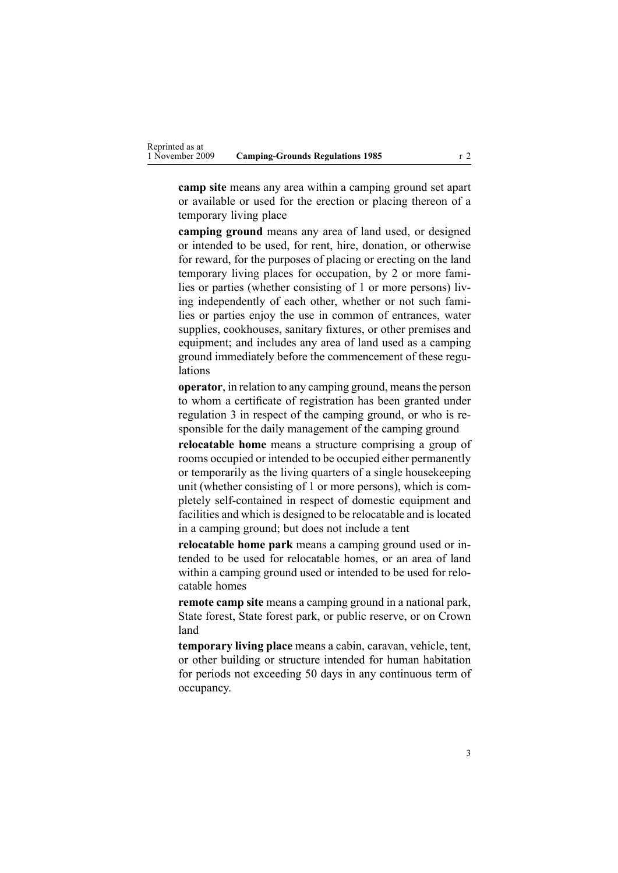**camp site** means any area within <sup>a</sup> camping ground set apar<sup>t</sup> or available or used for the erection or placing thereon of <sup>a</sup> temporary living place

**camping ground** means any area of land used, or designed or intended to be used, for rent, hire, donation, or otherwise for reward, for the purposes of placing or erecting on the land temporary living places for occupation, by 2 or more families or parties (whether consisting of 1 or more persons) living independently of each other, whether or not such families or parties enjoy the use in common of entrances, water supplies, cookhouses, sanitary fixtures, or other premises and equipment; and includes any area of land used as <sup>a</sup> camping ground immediately before the commencement of these regulations

**operator**, in relation to any camping ground, meansthe person to whom <sup>a</sup> certificate of registration has been granted under regu[lation](#page-3-0) 3 in respec<sup>t</sup> of the camping ground, or who is responsible for the daily managemen<sup>t</sup> of the camping ground

**relocatable home** means <sup>a</sup> structure comprising <sup>a</sup> group of rooms occupied or intended to be occupied either permanently or temporarily as the living quarters of <sup>a</sup> single housekeeping unit (whether consisting of 1 or more persons), which is completely self-contained in respec<sup>t</sup> of domestic equipment and facilities and which is designed to be relocatable and is located in <sup>a</sup> camping ground; but does not include <sup>a</sup> tent

**relocatable home park** means <sup>a</sup> camping ground used or intended to be used for relocatable homes, or an area of land within <sup>a</sup> camping ground used or intended to be used for relocatable homes

**remote camp site** means <sup>a</sup> camping ground in <sup>a</sup> national park, State forest, State forest park, or public reserve, or on Crown land

**temporary living place** means <sup>a</sup> cabin, caravan, vehicle, tent, or other building or structure intended for human habitation for periods not exceeding 50 days in any continuous term of occupancy.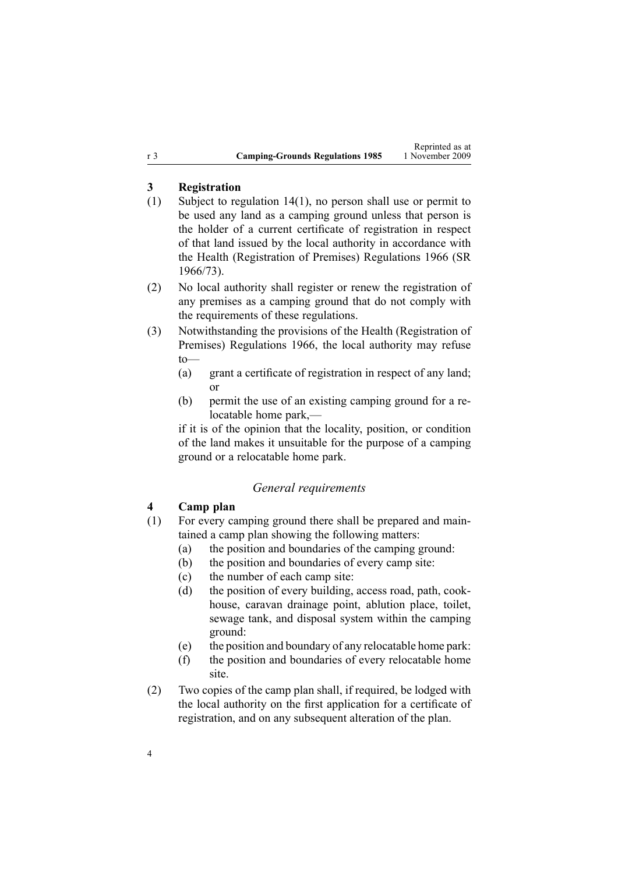#### <span id="page-3-0"></span>**3 Registration**

- (1) Subject to regulation [14\(1\)](#page-6-0), no person shall use or permit to be used any land as <sup>a</sup> camping ground unless that person is the holder of <sup>a</sup> current certificate of registration in respec<sup>t</sup> of that land issued by the local authority in accordance with the Health [\(Registration](http://www.legislation.govt.nz/pdflink.aspx?id=DLM23779) of Premises) Regulations 1966 (SR 1966/73).
- (2) No local authority shall register or renew the registration of any premises as <sup>a</sup> camping ground that do not comply with the requirements of these regulations.
- (3) Notwithstanding the provisions of the Health [\(Registration](http://www.legislation.govt.nz/pdflink.aspx?id=DLM23779) of Premises) [Regulations](http://www.legislation.govt.nz/pdflink.aspx?id=DLM23779) 1966, the local authority may refuse  $to$ —
	- (a) gran<sup>t</sup> <sup>a</sup> certificate of registration in respec<sup>t</sup> of any land; or
	- (b) permit the use of an existing camping ground for <sup>a</sup> relocatable home park,—

if it is of the opinion that the locality, position, or condition of the land makes it unsuitable for the purpose of <sup>a</sup> camping ground or <sup>a</sup> relocatable home park.

#### *General requirements*

#### **4 Camp plan**

- (1) For every camping ground there shall be prepared and maintained <sup>a</sup> camp plan showing the following matters:
	- (a) the position and boundaries of the camping ground:
	- (b) the position and boundaries of every camp site:
	- (c) the number of each camp site:
	- (d) the position of every building, access road, path, cookhouse, caravan drainage point, ablution place, toilet, sewage tank, and disposal system within the camping ground:
	- (e) the position and boundary of any relocatable home park:
	- (f) the position and boundaries of every relocatable home site.
- (2) Two copies of the camp plan shall, if required, be lodged with the local authority on the first application for <sup>a</sup> certificate of registration, and on any subsequent alteration of the plan.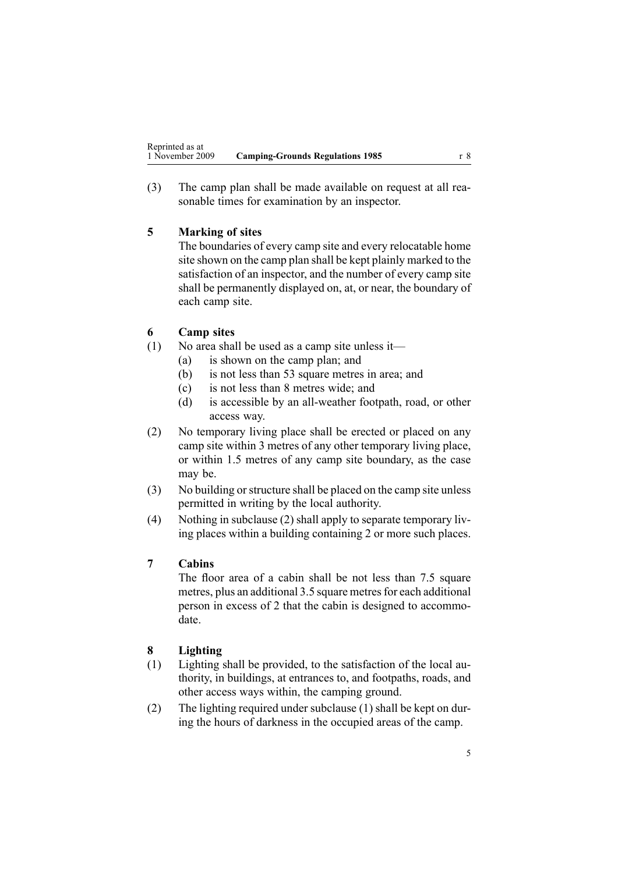<span id="page-4-0"></span>(3) The camp plan shall be made available on reques<sup>t</sup> at all reasonable times for examination by an inspector.

# **5 Marking of sites**

The boundaries of every camp site and every relocatable home site shown on the camp plan shall be kept plainly marked to the satisfaction of an inspector, and the number of every camp site shall be permanently displayed on, at, or near, the boundary of each camp site.

# **6 Camp sites**

- (1) No area shall be used as <sup>a</sup> camp site unless it—
	- (a) is shown on the camp plan; and
	- (b) is not less than 53 square metres in area; and
	- (c) is not less than 8 metres wide; and
	- (d) is accessible by an all-weather footpath, road, or other access way.
- (2) No temporary living place shall be erected or placed on any camp site within 3 metres of any other temporary living place, or within 1.5 metres of any camp site boundary, as the case may be.
- (3) No building orstructure shall be placed on the camp site unless permitted in writing by the local authority.
- (4) Nothing in subclause (2) shall apply to separate temporary living places within <sup>a</sup> building containing 2 or more such places.

# **7 Cabins**

The floor area of <sup>a</sup> cabin shall be not less than 7.5 square metres, plus an additional 3.5 square metres for each additional person in excess of 2 that the cabin is designed to accommodate.

# **8 Lighting**

- (1) Lighting shall be provided, to the satisfaction of the local authority, in buildings, at entrances to, and footpaths, roads, and other access ways within, the camping ground.
- (2) The lighting required under subclause (1) shall be kept on during the hours of darkness in the occupied areas of the camp.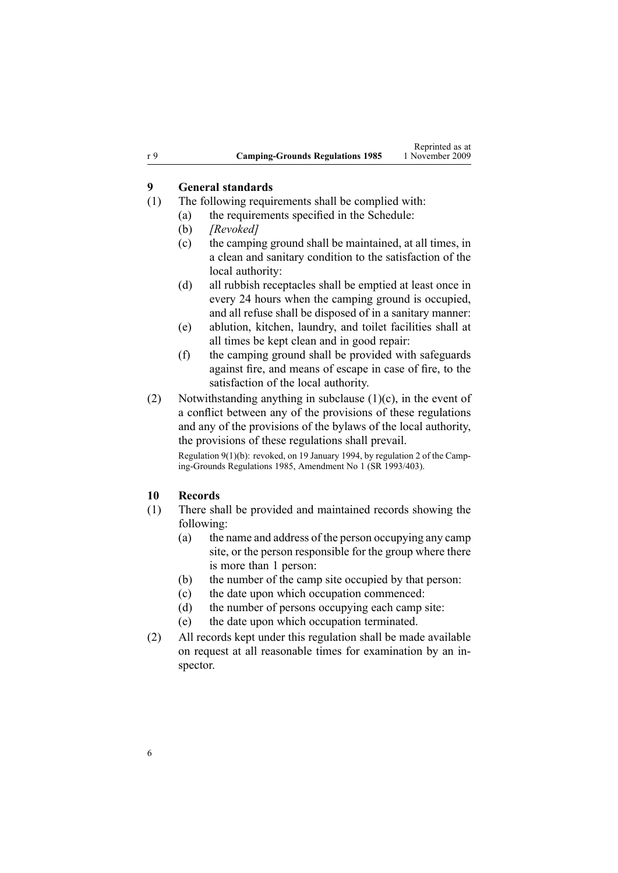#### <span id="page-5-0"></span>**9 General standards**

- (1) The following requirements shall be complied with:
	- (a) the requirements specified in the [Schedule](#page-10-0):
	- (b) *[Revoked]*
	- (c) the camping ground shall be maintained, at all times, in <sup>a</sup> clean and sanitary condition to the satisfaction of the local authority:
	- (d) all rubbish receptacles shall be emptied at least once in every 24 hours when the camping ground is occupied, and all refuse shall be disposed of in <sup>a</sup> sanitary manner:
	- (e) ablution, kitchen, laundry, and toilet facilities shall at all times be kept clean and in good repair:
	- (f) the camping ground shall be provided with safeguards against fire, and means of escape in case of fire, to the satisfaction of the local authority.
- (2) Notwithstanding anything in subclause  $(1)(c)$ , in the event of <sup>a</sup> conflict between any of the provisions of these regulations and any of the provisions of the bylaws of the local authority, the provisions of these regulations shall prevail.

Regulation 9(1)(b): revoked, on 19 January 1994, by regulation 2 of the Camping-Grounds Regulations 1985, Amendment No 1 (SR 1993/403).

#### **10 Records**

- (1) There shall be provided and maintained records showing the following:
	- (a) the name and address of the person occupying any camp site, or the person responsible for the group where there is more than 1 person:
	- (b) the number of the camp site occupied by that person:
	- (c) the date upon which occupation commenced:
	- (d) the number of persons occupying each camp site:
	- (e) the date upon which occupation terminated.
- (2) All records kept under this regulation shall be made available on reques<sup>t</sup> at all reasonable times for examination by an inspector.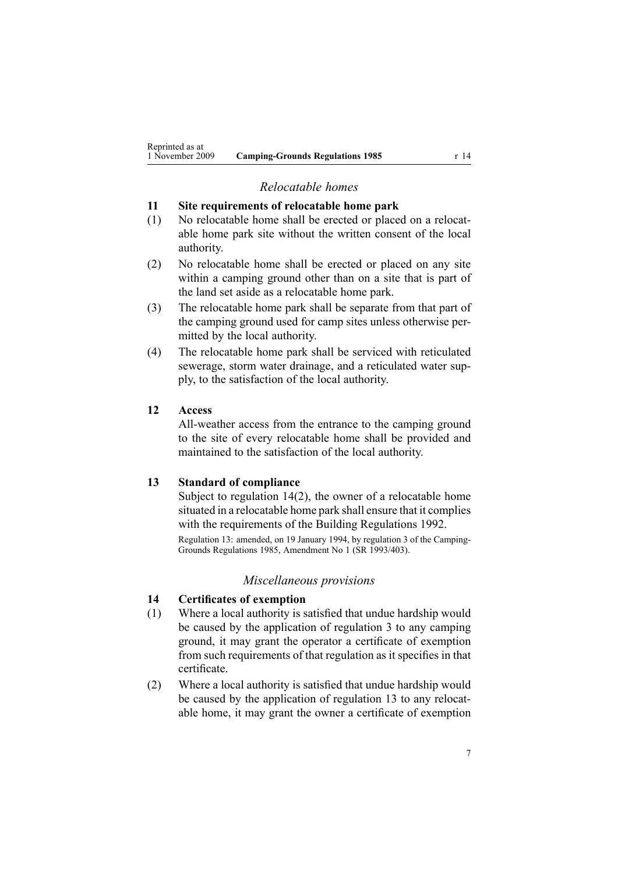# *Relocatable homes*

### <span id="page-6-0"></span>**11 Site requirements of relocatable home park**

- (1) No relocatable home shall be erected or placed on <sup>a</sup> relocatable home park site without the written consent of the local authority.
- (2) No relocatable home shall be erected or placed on any site within <sup>a</sup> camping ground other than on <sup>a</sup> site that is par<sup>t</sup> of the land set aside as <sup>a</sup> relocatable home park.
- (3) The relocatable home park shall be separate from that par<sup>t</sup> of the camping ground used for camp sites unless otherwise permitted by the local authority.
- (4) The relocatable home park shall be serviced with reticulated sewerage, storm water drainage, and <sup>a</sup> reticulated water supply, to the satisfaction of the local authority.

#### **12 Access**

All-weather access from the entrance to the camping ground to the site of every relocatable home shall be provided and maintained to the satisfaction of the local authority.

### **13 Standard of compliance**

Subject to regulation 14(2), the owner of <sup>a</sup> relocatable home situated in <sup>a</sup> relocatable home park shall ensure that it complies with the requirements of the Building Regulations 1992.

Regulation 13: amended, on 19 January 1994, by regulation 3 of the Camping-Grounds Regulations 1985, Amendment No 1 (SR 1993/403).

#### *Miscellaneous provisions*

#### **14 Certificates of exemption**

- (1) Where <sup>a</sup> local authority is satisfied that undue hardship would be caused by the application of regu[lation](#page-3-0) 3 to any camping ground, it may gran<sup>t</sup> the operator <sup>a</sup> certificate of exemption from such requirements of that regulation as it specifies in that certificate.
- (2) Where <sup>a</sup> local authority is satisfied that undue hardship would be caused by the application of regulation 13 to any relocatable home, it may gran<sup>t</sup> the owner <sup>a</sup> certificate of exemption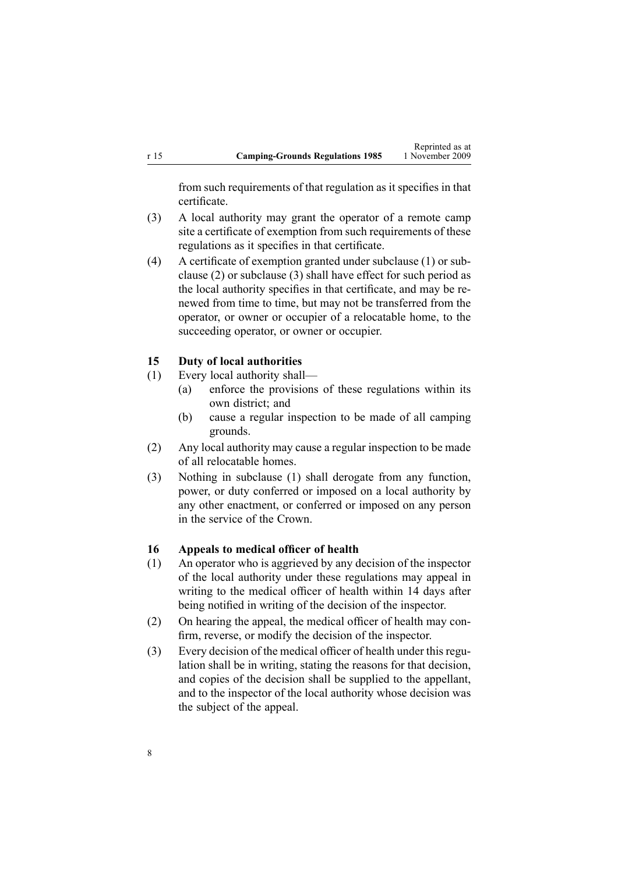<span id="page-7-0"></span>from such requirements of that regulation as it specifies in that certificate.

- (3) A local authority may gran<sup>t</sup> the operator of <sup>a</sup> remote camp site <sup>a</sup> certificate of exemption from such requirements of these regulations as it specifies in that certificate.
- (4) A certificate of exemption granted under subclause (1) or subclause (2) or subclause (3) shall have effect for such period as the local authority specifies in that certificate, and may be renewed from time to time, but may not be transferred from the operator, or owner or occupier of <sup>a</sup> relocatable home, to the succeeding operator, or owner or occupier.

#### **15 Duty of local authorities**

- (1) Every local authority shall—
	- (a) enforce the provisions of these regulations within its own district; and
	- (b) cause <sup>a</sup> regular inspection to be made of all camping grounds.
- (2) Any local authority may cause <sup>a</sup> regular inspection to be made of all relocatable homes.
- (3) Nothing in subclause (1) shall derogate from any function, power, or duty conferred or imposed on <sup>a</sup> local authority by any other enactment, or conferred or imposed on any person in the service of the Crown.

#### **16 Appeals to medical officer of health**

- (1) An operator who is aggrieved by any decision of the inspector of the local authority under these regulations may appeal in writing to the medical officer of health within 14 days after being notified in writing of the decision of the inspector.
- (2) On hearing the appeal, the medical officer of health may confirm, reverse, or modify the decision of the inspector.
- (3) Every decision of the medical officer of health under this regulation shall be in writing, stating the reasons for that decision, and copies of the decision shall be supplied to the appellant, and to the inspector of the local authority whose decision was the subject of the appeal.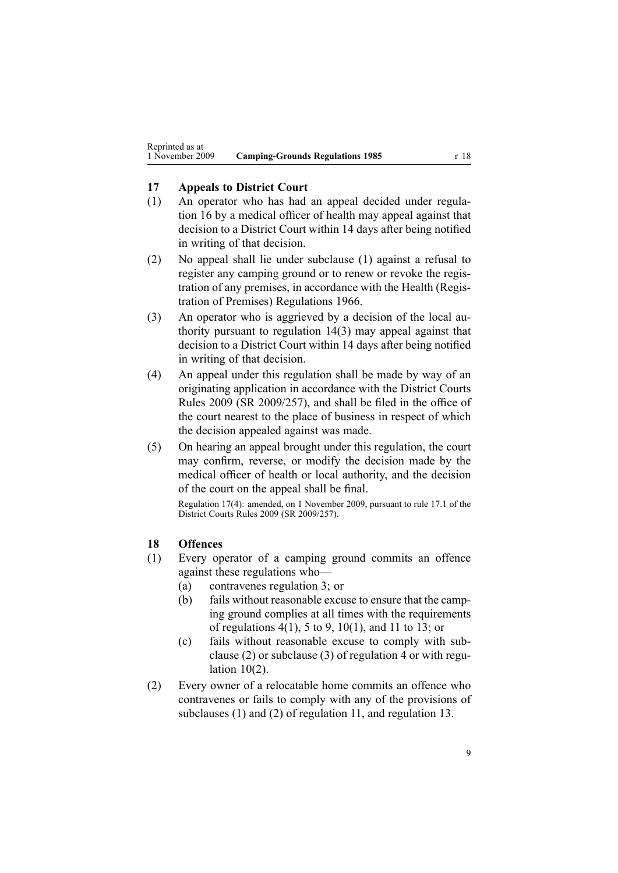#### <span id="page-8-0"></span>**17 Appeals to District Court**

- (1) An operator who has had an appeal decided under [regu](#page-7-0)la[tion](#page-7-0) 16 by <sup>a</sup> medical officer of health may appeal against that decision to <sup>a</sup> District Court within 14 days after being notified in writing of that decision.
- (2) No appeal shall lie under subclause (1) against <sup>a</sup> refusal to register any camping ground or to renew or revoke the registration of any premises, in accordance with the Health [\(Regis](http://www.legislation.govt.nz/pdflink.aspx?id=DLM23779)tration of Premises) [Regulations](http://www.legislation.govt.nz/pdflink.aspx?id=DLM23779) 1966.
- (3) An operator who is aggrieved by <sup>a</sup> decision of the local authority pursuan<sup>t</sup> to regulation [14\(3\)](#page-6-0) may appeal against that decision to <sup>a</sup> District Court within 14 days after being notified in writing of that decision.
- (4) An appeal under this regulation shall be made by way of an originating application in accordance with the [District](http://www.legislation.govt.nz/pdflink.aspx?id=DLM2300103) Courts [Rules](http://www.legislation.govt.nz/pdflink.aspx?id=DLM2300103) 2009 (SR 2009/257), and shall be filed in the office of the court nearest to the place of business in respec<sup>t</sup> of which the decision appealed against was made.
- (5) On hearing an appeal brought under this regulation, the court may confirm, reverse, or modify the decision made by the medical officer of health or local authority, and the decision of the court on the appeal shall be final.

Regulation 17(4): amended, on 1 November 2009, pursuan<sup>t</sup> to [rule](http://www.legislation.govt.nz/pdflink.aspx?id=DLM2300894) 17.1 of the District Courts Rules 2009 (SR 2009/257).

#### **18 Offences**

- (1) Every operator of <sup>a</sup> camping ground commits an offence against these regulations who—
	- (a) contravenes regu[lation](#page-3-0) 3; or
	- (b) fails without reasonable excuse to ensure that the camping ground complies at all times with the requirements of regu[lations](#page-3-0) 4(1), 5 [to](#page-4-0) 9, [10\(1\)](#page-5-0), and 11 to [13](#page-6-0); or
	- (c) fails without reasonable excuse to comply with subclause (2) or subclause (3) of regu[lation](#page-3-0) 4 or with [regu](#page-5-0)lation [10\(2\)](#page-5-0).
- (2) Every owner of <sup>a</sup> relocatable home commits an offence who contravenes or fails to comply with any of the provisions of subclauses (1) and (2) of regu[lation](#page-6-0) 11, and regu[lation](#page-6-0) 13.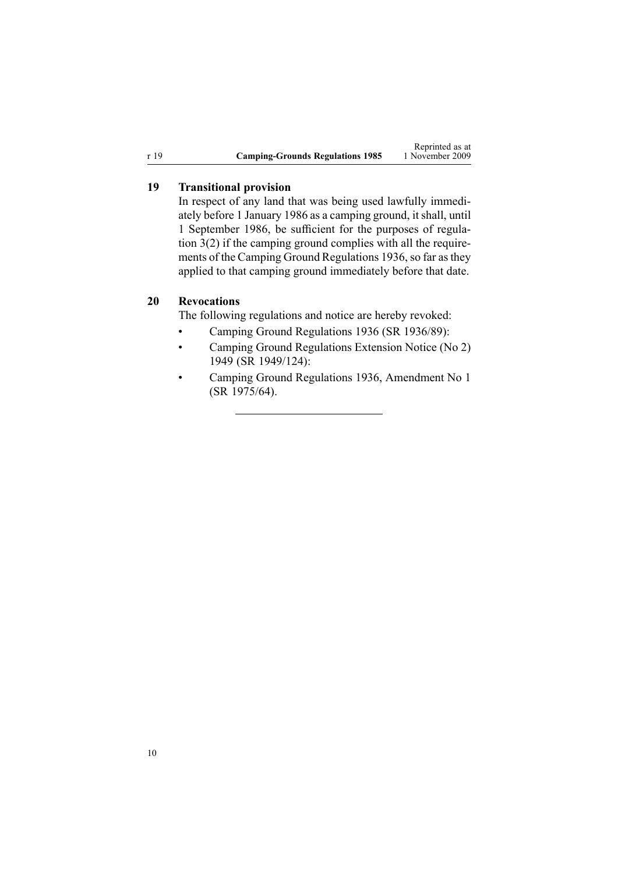<span id="page-9-0"></span>

|      |                                         | Reprinted as at |
|------|-----------------------------------------|-----------------|
| r 19 | <b>Camping-Grounds Regulations 1985</b> | 1 November 2009 |

#### **19 Transitional provision**

In respec<sup>t</sup> of any land that was being used lawfully immediately before 1 January 1986 as <sup>a</sup> camping ground, itshall, until 1 September 1986, be sufficient for the purposes of [regu](#page-3-0)lation [3\(2\)](#page-3-0) if the camping ground complies with all the requirements of the Camping Ground Regulations 1936, so far asthey applied to that camping ground immediately before that date.

# **20 Revocations**

The following regulations and notice are hereby revoked:

- •Camping Ground Regulations 1936 (SR 1936/89):
- • Camping Ground Regulations Extension Notice (No 2) 1949 (SR 1949/124):
- • Camping Ground Regulations 1936, Amendment No 1 (SR 1975/64).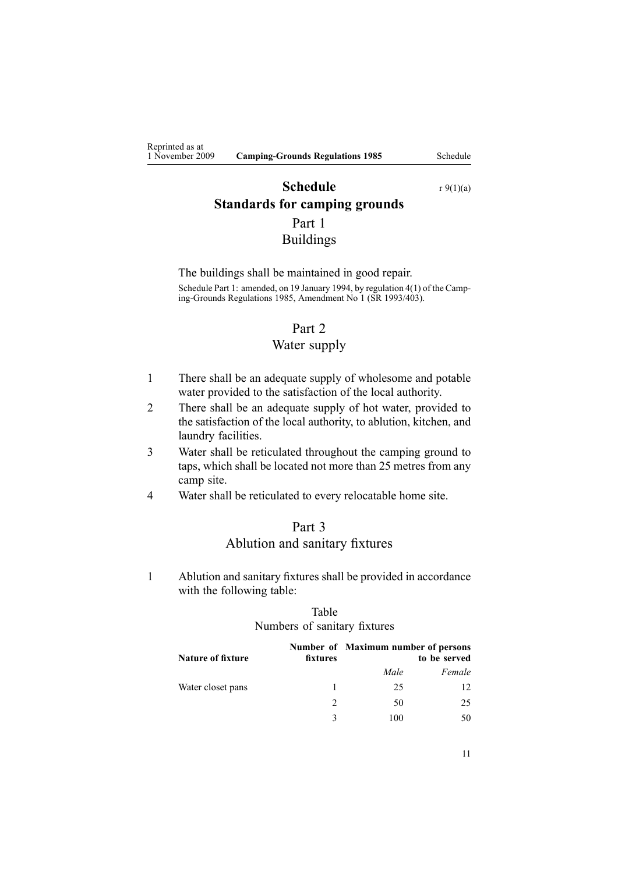# <span id="page-10-0"></span>**Schedule** r [9\(1\)\(a\)](#page-5-0) **Standards for camping grounds**

Part 1 Buildings

The buildings shall be maintained in good repair. Schedule Part 1: amended, on 19 January 1994, by regulation 4(1) of the Camping-Grounds Regulations 1985, Amendment No 1 (SR 1993/403).

#### Part 2

#### Water supply

- 1 There shall be an adequate supply of wholesome and potable water provided to the satisfaction of the local authority.
- 2 There shall be an adequate supply of hot water, provided to the satisfaction of the local authority, to ablution, kitchen, and laundry facilities.
- 3 Water shall be reticulated throughout the camping ground to taps, which shall be located not more than 25 metres from any camp site.
- 4 Water shall be reticulated to every relocatable home site.

# Part 3 Ablution and sanitary fixtures

1 Ablution and sanitary fixtures shall be provided in accordance with the following table:

#### Table Numbers of sanitary fixtures

| <b>Nature of fixture</b> | fixtures     | Number of Maximum number of persons | to be served |
|--------------------------|--------------|-------------------------------------|--------------|
|                          |              | Male                                | Female       |
| Water closet pans        | 1.           | 25                                  |              |
|                          |              | 50                                  | 25           |
|                          | $\mathbf{R}$ | 100                                 | 50           |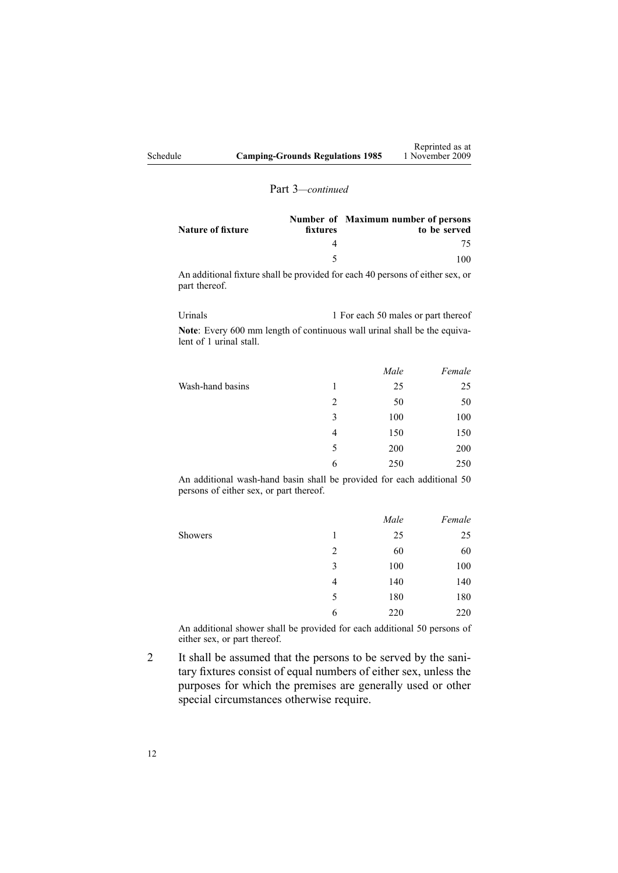|          |                                         | Reprinted as at |
|----------|-----------------------------------------|-----------------|
| Schedule | <b>Camping-Grounds Regulations 1985</b> | 1 November 2009 |

#### Part 3*—continued*

| Nature of fixture | fixtures | Number of Maximum number of persons<br>to be served |
|-------------------|----------|-----------------------------------------------------|
|                   |          |                                                     |
|                   |          |                                                     |

An additional fixture shall be provided for each 40 persons of either sex, or par<sup>t</sup> thereof.

| Urinals                 | 1 For each 50 males or part thereof                                      |
|-------------------------|--------------------------------------------------------------------------|
|                         | Note: Every 600 mm length of continuous wall urinal shall be the equiva- |
| lent of 1 urinal stall. |                                                                          |

|                  |   | Male | Female |
|------------------|---|------|--------|
| Wash-hand basins |   | 25   | 25     |
|                  | 2 | 50   | 50     |
|                  | 3 | 100  | 100    |
|                  | 4 | 150  | 150    |
|                  | 5 | 200  | 200    |
|                  | 6 | 250  | 250    |
|                  |   |      |        |

An additional wash-hand basin shall be provided for each additional 50 persons of either sex, or par<sup>t</sup> thereof.

|   |     | Female |
|---|-----|--------|
| 1 | 25  | 25     |
| 2 | 60  | 60     |
| 3 | 100 | 100    |
| 4 | 140 | 140    |
| 5 | 180 | 180    |
| 6 | 220 | 220    |
|   |     | Male   |

An additional shower shall be provided for each additional 50 persons of either sex, or par<sup>t</sup> thereof.

2 It shall be assumed that the persons to be served by the sanitary fixtures consist of equal numbers of either sex, unless the purposes for which the premises are generally used or other special circumstances otherwise require.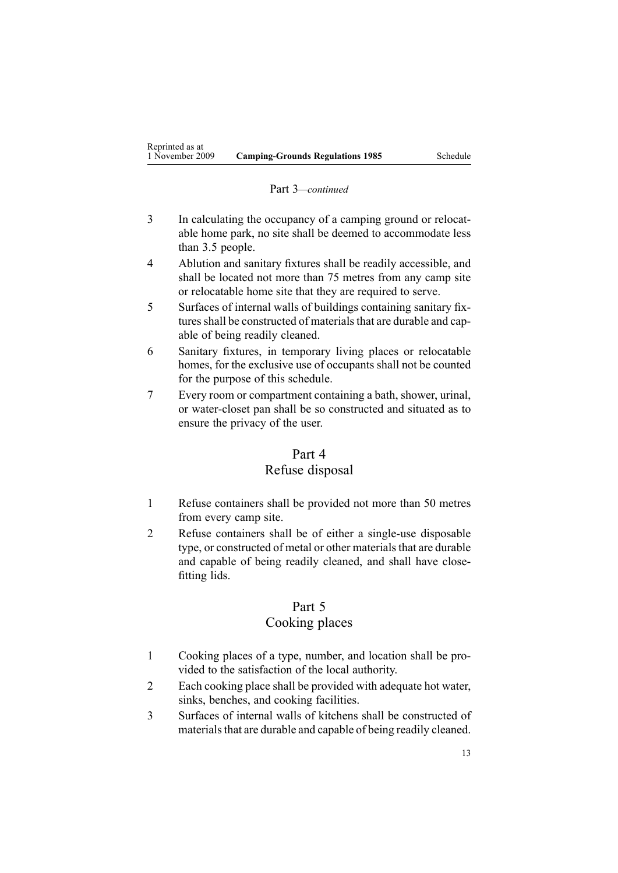#### Part 3*—continued*

- 3 In calculating the occupancy of <sup>a</sup> camping ground or relocatable home park, no site shall be deemed to accommodate less than 3.5 people.
- 4 Ablution and sanitary fixtures shall be readily accessible, and shall be located not more than 75 metres from any camp site or relocatable home site that they are required to serve.
- 5 Surfaces of internal walls of buildings containing sanitary fixtures shall be constructed of materials that are durable and capable of being readily cleaned.
- 6 Sanitary fixtures, in temporary living places or relocatable homes, for the exclusive use of occupants shall not be counted for the purpose of this schedule.
- 7 Every room or compartment containing <sup>a</sup> bath, shower, urinal, or water-closet pan shall be so constructed and situated as to ensure the privacy of the user.

#### Part 4

## Refuse disposal

- 1 Refuse containers shall be provided not more than 50 metres from every camp site.
- 2 Refuse containers shall be of either <sup>a</sup> single-use disposable type, or constructed of metal or other materials that are durable and capable of being readily cleaned, and shall have closefitting lids.

# Part 5

# Cooking places

- 1 Cooking places of <sup>a</sup> type, number, and location shall be provided to the satisfaction of the local authority.
- 2 Each cooking place shall be provided with adequate hot water, sinks, benches, and cooking facilities.
- 3 Surfaces of internal walls of kitchens shall be constructed of materials that are durable and capable of being readily cleaned.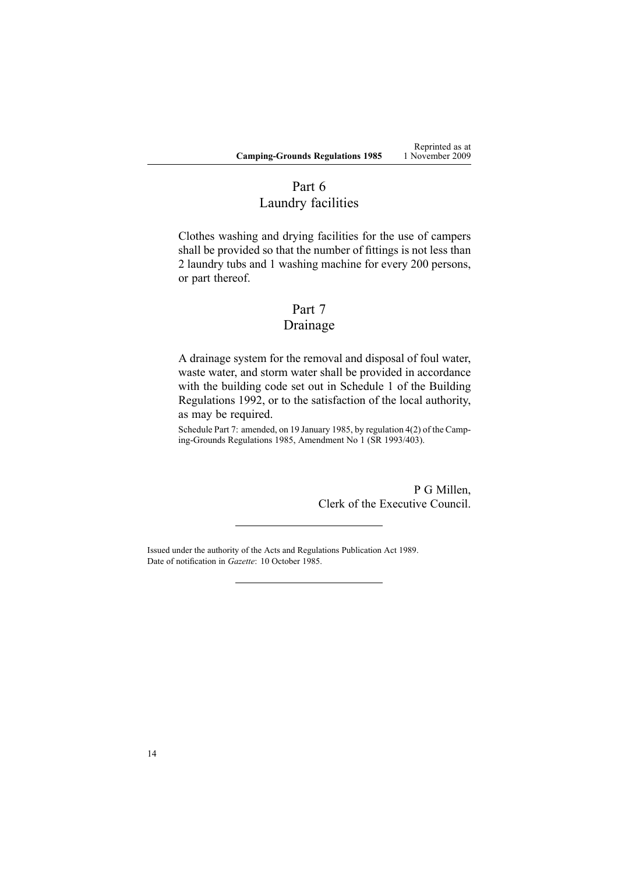Reprinted as at 1 November 2009

# Part 6 Laundry facilities

Clothes washing and drying facilities for the use of campers shall be provided so that the number of fittings is not less than 2 laundry tubs and 1 washing machine for every 200 persons, or par<sup>t</sup> thereof.

# Part 7

# Drainage

A drainage system for the removal and disposal of foul water, waste water, and storm water shall be provided in accordance with the building code set out in [Schedule](http://www.legislation.govt.nz/pdflink.aspx?id=DLM162576) 1 of the Building Regulations 1992, or to the satisfaction of the local authority, as may be required.

Schedule Part 7: amended, on 19 January 1985, by regulation 4(2) of the Camping-Grounds Regulations 1985, Amendment No 1 (SR 1993/403).

> P G Millen, Clerk of the Executive Council.

Issued under the authority of the Acts and [Regulations](http://www.legislation.govt.nz/pdflink.aspx?id=DLM195401) Publication Act 1989. Date of notification in *Gazette*: 10 October 1985.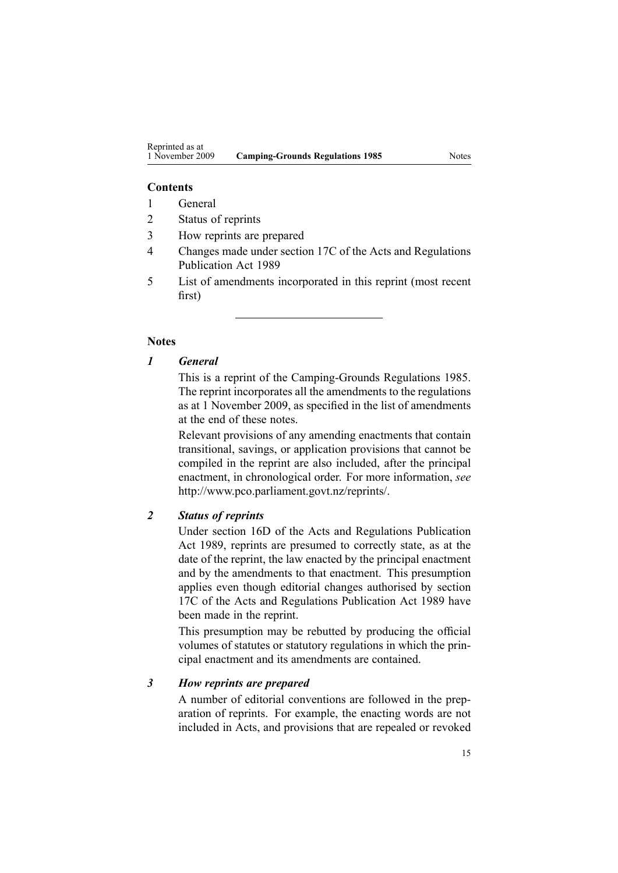#### **Contents**

- 1 General
- 2 Status of reprints
- 3 How reprints are prepared
- 4 Changes made under section 17C of the Acts and Regulations Publication Act 1989
- 5 List of amendments incorporated in this reprint (most recent first)

#### **Notes**

#### *1 General*

This is <sup>a</sup> reprint of the Camping-Grounds Regulations 1985. The reprint incorporates all the amendments to the regulations as at 1 November 2009, as specified in the list of amendments at the end of these notes.

Relevant provisions of any amending enactments that contain transitional, savings, or application provisions that cannot be compiled in the reprint are also included, after the principal enactment, in chronological order. For more information, *see* <http://www.pco.parliament.govt.nz/reprints/>.

#### *2 Status of reprints*

Under [section](http://www.legislation.govt.nz/pdflink.aspx?id=DLM195439) 16D of the Acts and Regulations Publication Act 1989, reprints are presumed to correctly state, as at the date of the reprint, the law enacted by the principal enactment and by the amendments to that enactment. This presumption applies even though editorial changes authorised by [section](http://www.legislation.govt.nz/pdflink.aspx?id=DLM195466) [17C](http://www.legislation.govt.nz/pdflink.aspx?id=DLM195466) of the Acts and Regulations Publication Act 1989 have been made in the reprint.

This presumption may be rebutted by producing the official volumes of statutes or statutory regulations in which the principal enactment and its amendments are contained.

#### *3 How reprints are prepared*

A number of editorial conventions are followed in the preparation of reprints. For example, the enacting words are not included in Acts, and provisions that are repealed or revoked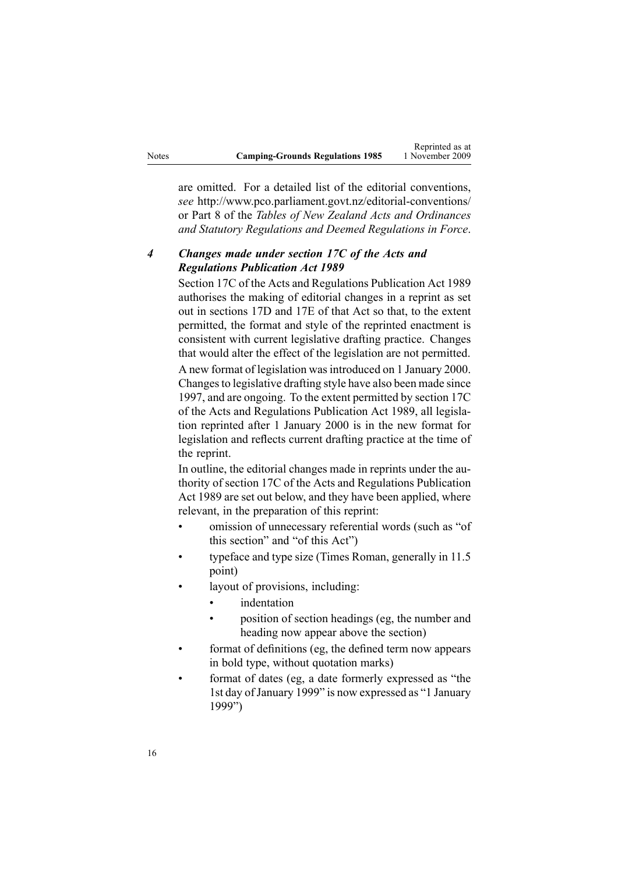|       |                                         | Reprinted as at |
|-------|-----------------------------------------|-----------------|
| Notes | <b>Camping-Grounds Regulations 1985</b> | 1 November 2009 |

Reprinted as at

are omitted. For <sup>a</sup> detailed list of the editorial conventions, *see* <http://www.pco.parliament.govt.nz/editorial-conventions/> or Part 8 of the *Tables of New Zealand Acts and Ordinances and Statutory Regulations and Deemed Regulations in Force*.

### *4 Changes made under section 17C of the Acts and Regulations Publication Act 1989*

[Section](http://www.legislation.govt.nz/pdflink.aspx?id=DLM195466) 17C of the Acts and Regulations Publication Act 1989 authorises the making of editorial changes in <sup>a</sup> reprint as set out in [sections](http://www.legislation.govt.nz/pdflink.aspx?id=DLM195468) 17D and [17E](http://www.legislation.govt.nz/pdflink.aspx?id=DLM195470) of that Act so that, to the extent permitted, the format and style of the reprinted enactment is consistent with current legislative drafting practice. Changes that would alter the effect of the legislation are not permitted.

A new format of legislation wasintroduced on 1 January 2000. Changesto legislative drafting style have also been made since 1997, and are ongoing. To the extent permitted by [section](http://www.legislation.govt.nz/pdflink.aspx?id=DLM195466) 17C of the Acts and Regulations Publication Act 1989, all legislation reprinted after 1 January 2000 is in the new format for legislation and reflects current drafting practice at the time of the reprint.

In outline, the editorial changes made in reprints under the authority of [section](http://www.legislation.govt.nz/pdflink.aspx?id=DLM195466) 17C of the Acts and Regulations Publication Act 1989 are set out below, and they have been applied, where relevant, in the preparation of this reprint:

- • omission of unnecessary referential words (such as "of this section" and "of this Act")
- • typeface and type size (Times Roman, generally in 11.5 point)
- • layout of provisions, including:
	- •indentation
	- • position of section headings (eg, the number and heading now appear above the section)
- • format of definitions (eg, the defined term now appears in bold type, without quotation marks)
- • format of dates (eg, <sup>a</sup> date formerly expressed as "the 1st day of January 1999" is now expressed as "1 January 1999")